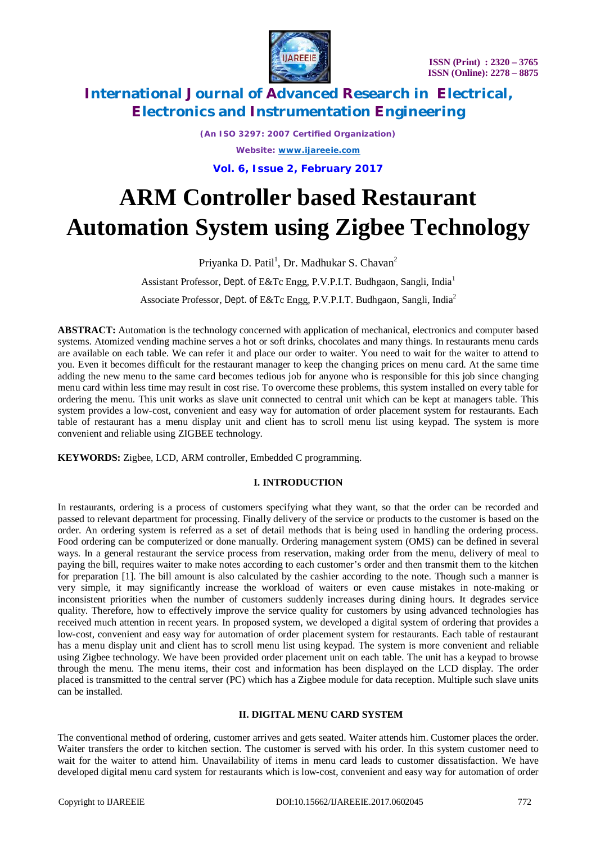

*(An ISO 3297: 2007 Certified Organization) Website: [www.ijareeie.com](http://www.ijareeie.com)*

**Vol. 6, Issue 2, February 2017**

# **ARM Controller based Restaurant Automation System using Zigbee Technology**

Priyanka D. Patil<sup>1</sup>, Dr. Madhukar S. Chavan<sup>2</sup>

Assistant Professor, Dept. of E&Tc Engg, P.V.P.I.T. Budhgaon, Sangli, India<sup>1</sup>

Associate Professor, Dept. of E&Tc Engg, P.V.P.I.T. Budhgaon, Sangli, India<sup>2</sup>

**ABSTRACT:** Automation is the technology concerned with application of mechanical, electronics and computer based systems. Atomized vending machine serves a hot or soft drinks, chocolates and many things. In restaurants menu cards are available on each table. We can refer it and place our order to waiter. You need to wait for the waiter to attend to you. Even it becomes difficult for the restaurant manager to keep the changing prices on menu card. At the same time adding the new menu to the same card becomes tedious job for anyone who is responsible for this job since changing menu card within less time may result in cost rise. To overcome these problems, this system installed on every table for ordering the menu. This unit works as slave unit connected to central unit which can be kept at managers table. This system provides a low-cost, convenient and easy way for automation of order placement system for restaurants. Each table of restaurant has a menu display unit and client has to scroll menu list using keypad. The system is more convenient and reliable using ZIGBEE technology.

**KEYWORDS:** Zigbee, LCD, ARM controller, Embedded C programming.

### **I. INTRODUCTION**

In restaurants, ordering is a process of customers specifying what they want, so that the order can be recorded and passed to relevant department for processing. Finally delivery of the service or products to the customer is based on the order. An ordering system is referred as a set of detail methods that is being used in handling the ordering process. Food ordering can be computerized or done manually. Ordering management system (OMS) can be defined in several ways. In a general restaurant the service process from reservation, making order from the menu, delivery of meal to paying the bill, requires waiter to make notes according to each customer's order and then transmit them to the kitchen for preparation [1]. The bill amount is also calculated by the cashier according to the note. Though such a manner is very simple, it may significantly increase the workload of waiters or even cause mistakes in note-making or inconsistent priorities when the number of customers suddenly increases during dining hours. It degrades service quality. Therefore, how to effectively improve the service quality for customers by using advanced technologies has received much attention in recent years. In proposed system, we developed a digital system of ordering that provides a low-cost, convenient and easy way for automation of order placement system for restaurants. Each table of restaurant has a menu display unit and client has to scroll menu list using keypad. The system is more convenient and reliable using Zigbee technology. We have been provided order placement unit on each table. The unit has a keypad to browse through the menu. The menu items, their cost and information has been displayed on the LCD display. The order placed is transmitted to the central server (PC) which has a Zigbee module for data reception. Multiple such slave units can be installed.

#### **II. DIGITAL MENU CARD SYSTEM**

The conventional method of ordering, customer arrives and gets seated. Waiter attends him. Customer places the order. Waiter transfers the order to kitchen section. The customer is served with his order. In this system customer need to wait for the waiter to attend him. Unavailability of items in menu card leads to customer dissatisfaction. We have developed digital menu card system for restaurants which is low-cost, convenient and easy way for automation of order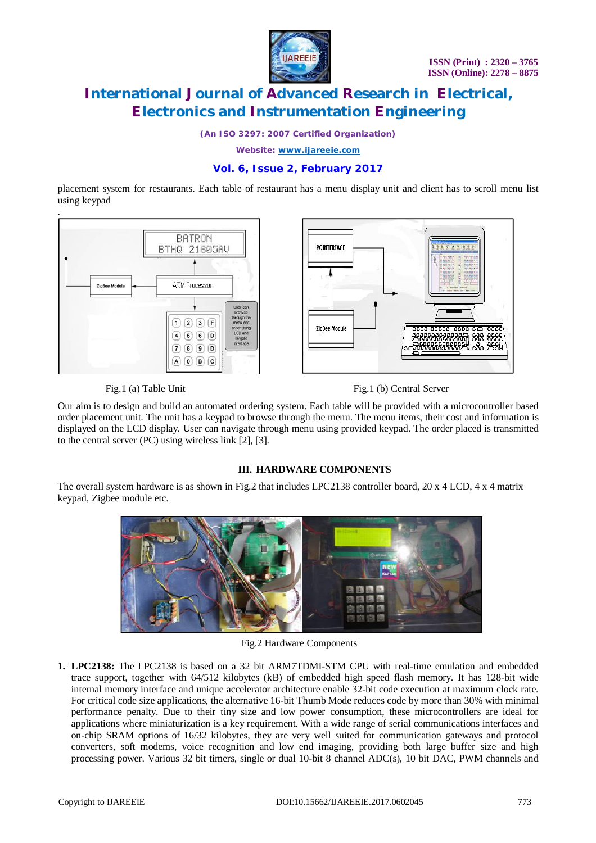

*(An ISO 3297: 2007 Certified Organization)*

*Website: [www.ijareeie.com](http://www.ijareeie.com)*

### **Vol. 6, Issue 2, February 2017**

placement system for restaurants. Each table of restaurant has a menu display unit and client has to scroll menu list using keypad



Fig.1 (a) Table Unit Fig.1 (b) Central Server

Our aim is to design and build an automated ordering system. Each table will be provided with a microcontroller based order placement unit. The unit has a keypad to browse through the menu. The menu items, their cost and information is displayed on the LCD display. User can navigate through menu using provided keypad. The order placed is transmitted to the central server (PC) using wireless link [2], [3].

### **III. HARDWARE COMPONENTS**

The overall system hardware is as shown in Fig.2 that includes LPC2138 controller board, 20 x 4 LCD, 4 x 4 matrix keypad, Zigbee module etc.



Fig.2 Hardware Components

**1. LPC2138:** The LPC2138 is based on a 32 bit ARM7TDMI-STM CPU with real-time emulation and embedded trace support, together with 64/512 kilobytes (kB) of embedded high speed flash memory. It has 128-bit wide internal memory interface and unique accelerator architecture enable 32-bit code execution at maximum clock rate. For critical code size applications, the alternative 16-bit Thumb Mode reduces code by more than 30% with minimal performance penalty. Due to their tiny size and low power consumption, these microcontrollers are ideal for applications where miniaturization is a key requirement. With a wide range of serial communications interfaces and on-chip SRAM options of 16/32 kilobytes, they are very well suited for communication gateways and protocol converters, soft modems, voice recognition and low end imaging, providing both large buffer size and high processing power. Various 32 bit timers, single or dual 10-bit 8 channel ADC(s), 10 bit DAC, PWM channels and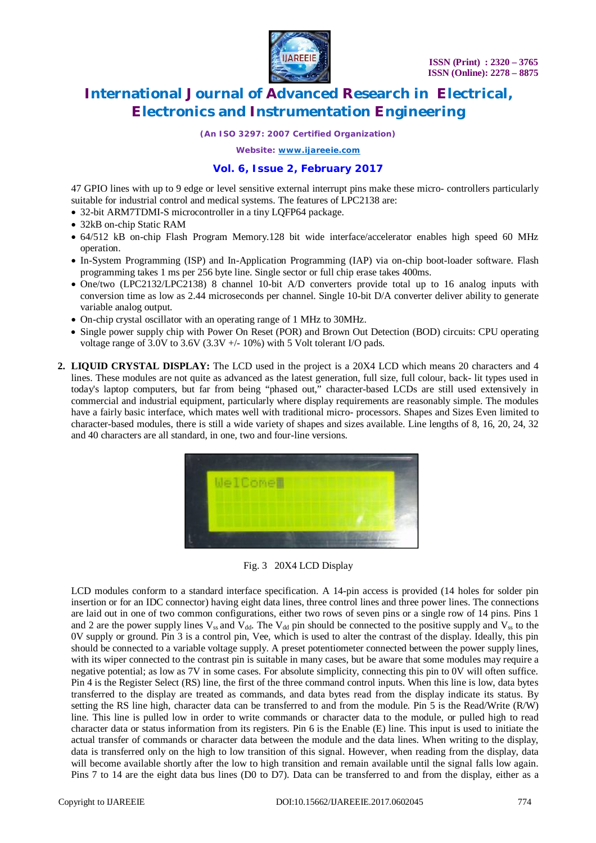

*(An ISO 3297: 2007 Certified Organization)*

*Website: [www.ijareeie.com](http://www.ijareeie.com)*

#### **Vol. 6, Issue 2, February 2017**

47 GPIO lines with up to 9 edge or level sensitive external interrupt pins make these micro- controllers particularly suitable for industrial control and medical systems. The features of LPC2138 are:

- 32-bit ARM7TDMI-S microcontroller in a tiny LQFP64 package.
- 32kB on-chip Static RAM
- 64/512 kB on-chip Flash Program Memory.128 bit wide interface/accelerator enables high speed 60 MHz operation.
- In-System Programming (ISP) and In-Application Programming (IAP) via on-chip boot-loader software. Flash programming takes 1 ms per 256 byte line. Single sector or full chip erase takes 400ms.
- One/two (LPC2132/LPC2138) 8 channel 10-bit A/D converters provide total up to 16 analog inputs with conversion time as low as 2.44 microseconds per channel. Single 10-bit D/A converter deliver ability to generate variable analog output.
- On-chip crystal oscillator with an operating range of 1 MHz to 30MHz.
- Single power supply chip with Power On Reset (POR) and Brown Out Detection (BOD) circuits: CPU operating voltage range of 3.0V to 3.6V (3.3V +/- 10%) with 5 Volt tolerant I/O pads.
- **2. LIQUID CRYSTAL DISPLAY:** The LCD used in the project is a 20X4 LCD which means 20 characters and 4 lines. These modules are not quite as advanced as the latest generation, full size, full colour, back- lit types used in today's laptop computers, but far from being "phased out," character-based LCDs are still used extensively in commercial and industrial equipment, particularly where display requirements are reasonably simple. The modules have a fairly basic interface, which mates well with traditional micro- processors. Shapes and Sizes Even limited to character-based modules, there is still a wide variety of shapes and sizes available. Line lengths of 8, 16, 20, 24, 32 and 40 characters are all standard, in one, two and four-line versions.



Fig. 3 20X4 LCD Display

LCD modules conform to a standard interface specification. A 14-pin access is provided (14 holes for solder pin insertion or for an IDC connector) having eight data lines, three control lines and three power lines. The connections are laid out in one of two common configurations, either two rows of seven pins or a single row of 14 pins. Pins 1 and 2 are the power supply lines  $V_{ss}$  and  $V_{dd}$ . The  $V_{dd}$  pin should be connected to the positive supply and  $V_{ss}$  to the 0V supply or ground. Pin 3 is a control pin, Vee, which is used to alter the contrast of the display. Ideally, this pin should be connected to a variable voltage supply. A preset potentiometer connected between the power supply lines, with its wiper connected to the contrast pin is suitable in many cases, but be aware that some modules may require a negative potential; as low as 7V in some cases. For absolute simplicity, connecting this pin to 0V will often suffice. Pin 4 is the Register Select (RS) line, the first of the three command control inputs. When this line is low, data bytes transferred to the display are treated as commands, and data bytes read from the display indicate its status. By setting the RS line high, character data can be transferred to and from the module. Pin 5 is the Read/Write (R/W) line. This line is pulled low in order to write commands or character data to the module, or pulled high to read character data or status information from its registers. Pin 6 is the Enable (E) line. This input is used to initiate the actual transfer of commands or character data between the module and the data lines. When writing to the display, data is transferred only on the high to low transition of this signal. However, when reading from the display, data will become available shortly after the low to high transition and remain available until the signal falls low again. Pins 7 to 14 are the eight data bus lines (D0 to D7). Data can be transferred to and from the display, either as a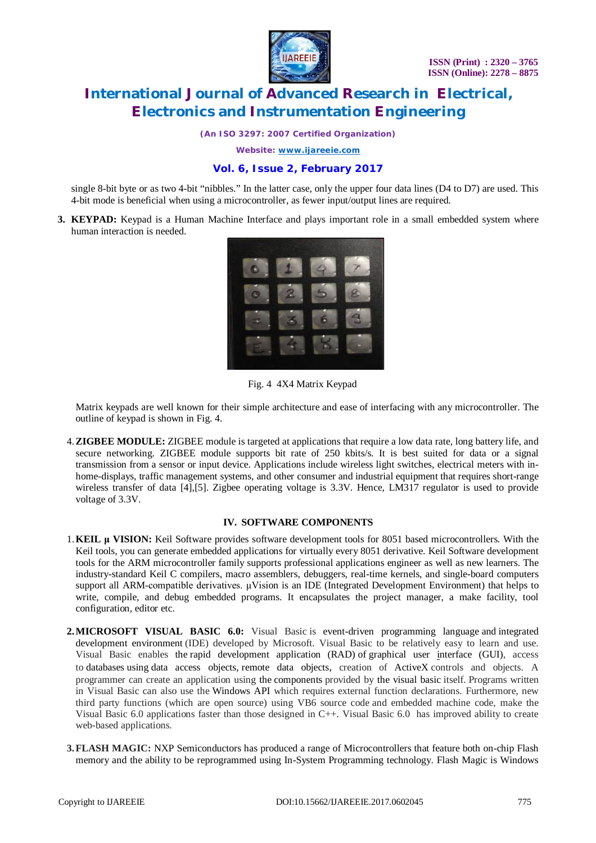

*(An ISO 3297: 2007 Certified Organization)*

*Website: [www.ijareeie.com](http://www.ijareeie.com)*

### **Vol. 6, Issue 2, February 2017**

single 8-bit byte or as two 4-bit "nibbles." In the latter case, only the upper four data lines (D4 to D7) are used. This 4-bit mode is beneficial when using a microcontroller, as fewer input/output lines are required.

**3. KEYPAD:** Keypad is a Human Machine Interface and plays important role in a small embedded system where human interaction is needed.



Fig. 4 4X4 Matrix Keypad

Matrix keypads are well known for their simple architecture and ease of interfacing with any microcontroller. The outline of keypad is shown in Fig. 4.

4.**ZIGBEE MODULE:** ZIGBEE module is targeted at applications that require a low data rate, long battery life, and secure networking. ZIGBEE module supports bit rate of 250 kbits/s. It is best suited for data or a signal transmission from a sensor or input device. Applications include wireless light switches, electrical meters with inhome-displays, traffic management systems, and other consumer and industrial equipment that requires short-range wireless transfer of data [4],[5]. Zigbee operating voltage is 3.3V. Hence, LM317 regulator is used to provide voltage of 3.3V.

#### **IV. SOFTWARE COMPONENTS**

- 1.**KEIL μ VISION:** Keil Software provides software development tools for 8051 based microcontrollers. With the Keil tools, you can generate embedded applications for virtually every 8051 derivative. Keil Software development tools for the ARM microcontroller family supports professional applications engineer as well as new learners. The industry-standard Keil C compilers, macro assemblers, debuggers, real-time kernels, and single-board computers support all ARM-compatible derivatives. μVision is an IDE (Integrated Development Environment) that helps to write, compile, and debug embedded programs. It encapsulates the project manager, a make facility, tool configuration, editor etc.
- **2.MICROSOFT VISUAL BASIC 6.0:** Visual Basic is event-driven programming language and integrated development environment (IDE) developed by Microsoft. Visual Basic to be relatively easy to learn and use. Visual Basic enables the rapid development application (RAD) of graphical user interface (GUI), access to databases using data access objects, remote data objects, creation of ActiveX controls and objects. A programmer can create an application using the components provided by the visual basic itself. Programs written in Visual Basic can also use the Windows API which requires external function declarations. Furthermore, new third party functions (which are open source) using VB6 source code and embedded machine code, make the Visual Basic 6.0 applications faster than those designed in C++. Visual Basic 6.0 has improved ability to create web-based applications.
- **3.FLASH MAGIC:** NXP Semiconductors has produced a range of Microcontrollers that feature both on-chip Flash memory and the ability to be reprogrammed using In-System Programming technology. Flash Magic is Windows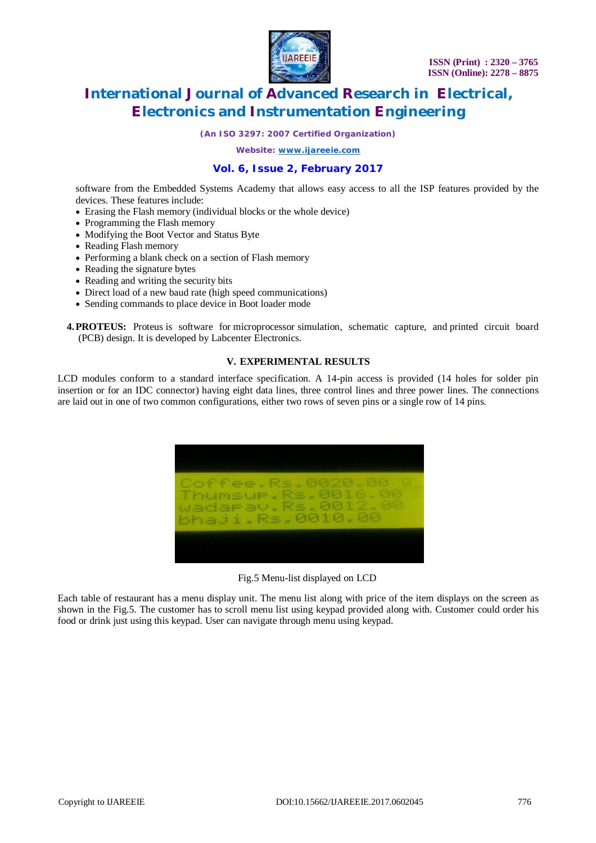

*(An ISO 3297: 2007 Certified Organization)*

*Website: [www.ijareeie.com](http://www.ijareeie.com)*

#### **Vol. 6, Issue 2, February 2017**

software from the Embedded Systems Academy that allows easy access to all the ISP features provided by the devices. These features include:

- Erasing the Flash memory (individual blocks or the whole device)
- Programming the Flash memory
- Modifying the Boot Vector and Status Byte
- Reading Flash memory
- Performing a blank check on a section of Flash memory
- Reading the signature bytes
- Reading and writing the security bits
- Direct load of a new baud rate (high speed communications)
- Sending commands to place device in Boot loader mode
- **4.PROTEUS:** Proteus is software for microprocessor simulation, schematic capture, and printed circuit board (PCB) design. It is developed by Labcenter Electronics.

#### **V. EXPERIMENTAL RESULTS**

LCD modules conform to a standard interface specification. A 14-pin access is provided (14 holes for solder pin insertion or for an IDC connector) having eight data lines, three control lines and three power lines. The connections are laid out in one of two common configurations, either two rows of seven pins or a single row of 14 pins.



Fig.5 Menu-list displayed on LCD

Each table of restaurant has a menu display unit. The menu list along with price of the item displays on the screen as shown in the Fig.5. The customer has to scroll menu list using keypad provided along with. Customer could order his food or drink just using this keypad. User can navigate through menu using keypad.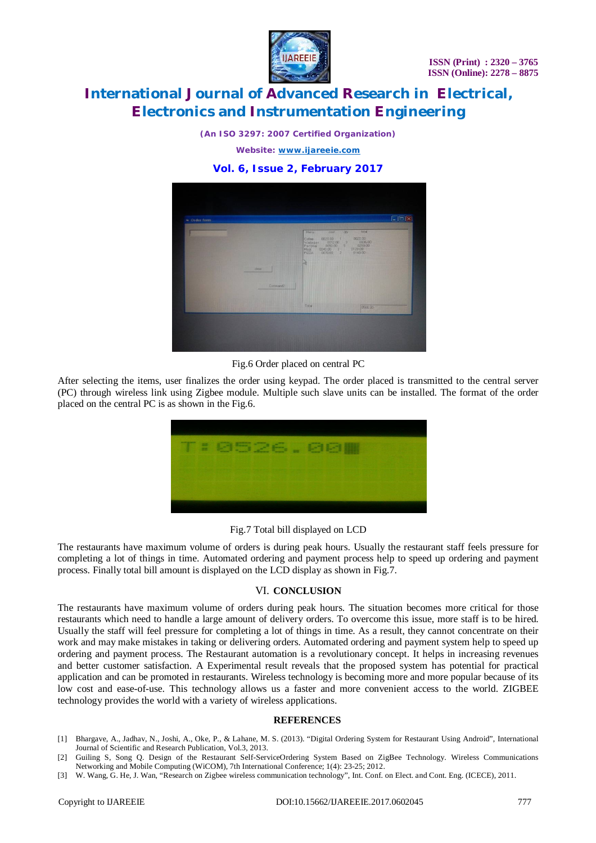

*(An ISO 3297: 2007 Certified Organization)*

*Website: [www.ijareeie.com](http://www.ijareeie.com)*

### **Vol. 6, Issue 2, February 2017**



Fig.6 Order placed on central PC

After selecting the items, user finalizes the order using keypad. The order placed is transmitted to the central server (PC) through wireless link using Zigbee module. Multiple such slave units can be installed. The format of the order placed on the central PC is as shown in the Fig.6.



Fig.7 Total bill displayed on LCD

The restaurants have maximum volume of orders is during peak hours. Usually the restaurant staff feels pressure for completing a lot of things in time. Automated ordering and payment process help to speed up ordering and payment process. Finally total bill amount is displayed on the LCD display as shown in Fig.7.

### VI. **CONCLUSION**

The restaurants have maximum volume of orders during peak hours. The situation becomes more critical for those restaurants which need to handle a large amount of delivery orders. To overcome this issue, more staff is to be hired. Usually the staff will feel pressure for completing a lot of things in time. As a result, they cannot concentrate on their work and may make mistakes in taking or delivering orders. Automated ordering and payment system help to speed up ordering and payment process. The Restaurant automation is a revolutionary concept. It helps in increasing revenues and better customer satisfaction. A Experimental result reveals that the proposed system has potential for practical application and can be promoted in restaurants. Wireless technology is becoming more and more popular because of its low cost and ease-of-use. This technology allows us a faster and more convenient access to the world. ZIGBEE technology provides the world with a variety of wireless applications.

#### **REFERENCES**

- [1] Bhargave, A., Jadhav, N., Joshi, A., Oke, P., & Lahane, M. S. (2013). "Digital Ordering System for Restaurant Using Android", International Journal of Scientific and Research Publication, Vol.3, 2013.
- [2] Guiling S, Song Q. Design of the Restaurant Self-ServiceOrdering System Based on ZigBee Technology. Wireless Communications Networking and Mobile Computing (WiCOM), 7th International Conference; 1(4): 23-25; 2012.
- [3] W. Wang, G. He, J. Wan, "Research on Zigbee wireless communication technology", Int. Conf. on Elect. and Cont. Eng. (ICECE), 2011.